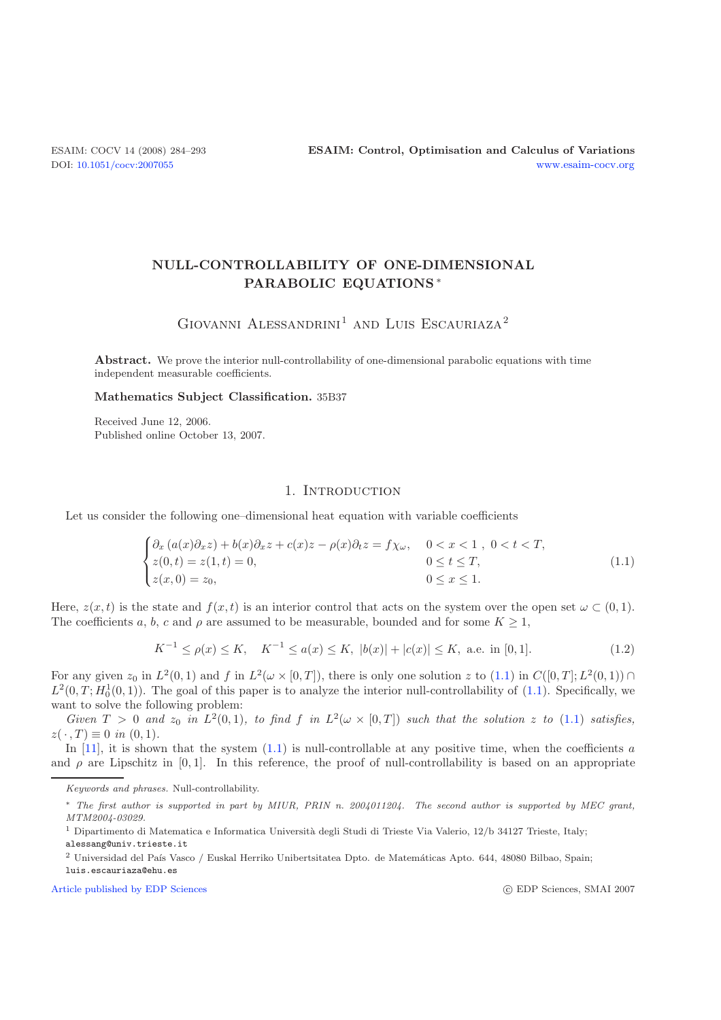# **NULL-CONTROLLABILITY OF ONE-DIMENSIONAL PARABOLIC EQUATIONS** ∗

# GIOVANNI ALESSANDRINI<sup>1</sup> AND LUIS ESCAURIAZA<sup>2</sup>

**Abstract.** We prove the interior null-controllability of one-dimensional parabolic equations with time independent measurable coefficients.

#### <span id="page-0-0"></span>**Mathematics Subject Classification.** 35B37

Received June 12, 2006. Published online October 13, 2007.

#### 1. INTRODUCTION

<span id="page-0-1"></span>Let us consider the following one–dimensional heat equation with variable coefficients

$$
\begin{cases}\n\partial_x \left( a(x)\partial_x z \right) + b(x)\partial_x z + c(x)z - \rho(x)\partial_t z = f\chi_\omega, & 0 < x < 1 \,, \ 0 < t < T, \\
z(0, t) = z(1, t) = 0, & 0 \le t \le T, \\
z(x, 0) = z_0, & 0 \le x \le 1.\n\end{cases} \tag{1.1}
$$

Here,  $z(x, t)$  is the state and  $f(x, t)$  is an interior control that acts on the system over the open set  $\omega \subset (0, 1)$ . The coefficients a, b, c and  $\rho$  are assumed to be measurable, bounded and for some  $K \geq 1$ ,

$$
K^{-1} \le \rho(x) \le K, \quad K^{-1} \le a(x) \le K, \quad |b(x)| + |c(x)| \le K, \text{ a.e. in } [0, 1]. \tag{1.2}
$$

For any given  $z_0$  in  $L^2(0,1)$  and f in  $L^2(\omega \times [0,T])$ , there is only one solution z to  $(1.1)$  in  $C([0,T];L^2(0,1)) \cap$  $L^2(0, T; H_0^1(0, 1))$ . The goal of this paper is to analyze the interior null-controllability of [\(1.1\)](#page-0-0). Specifically, we want to solve the following problem:

*Given*  $T > 0$  *and*  $z_0$  *in*  $L^2(0,1)$ *, to find*  $f$  *in*  $L^2(\omega \times [0,T])$  *such that the solution*  $z$  *to* [\(1.1\)](#page-0-0) *satisfies,*  $z(\cdot, T) \equiv 0$  *in* (0, 1).

In [\[11](#page-8-0)], it is shown that the system  $(1.1)$  is null-controllable at any positive time, when the coefficients a and  $\rho$  are Lipschitz in [0, 1]. In this reference, the proof of null-controllability is based on an appropriate

[Article published by EDP Sciences](http://www.edpsciences.org)

c EDP Sciences, SMAI 2007

Keywords and phrases. Null-controllability.

<sup>∗</sup> The first author is supported in part by MIUR, PRIN n. 2004011204. The second author is supported by MEC grant, MTM2004-03029.

<sup>&</sup>lt;sup>1</sup> Dipartimento di Matematica e Informatica Università degli Studi di Trieste Via Valerio, 12/b 34127 Trieste, Italy;

<sup>&</sup>lt;sup>2</sup> Universidad del País Vasco / Euskal Herriko Unibertsitatea Dpto. de Matemáticas Apto. 644, 48080 Bilbao, Spain;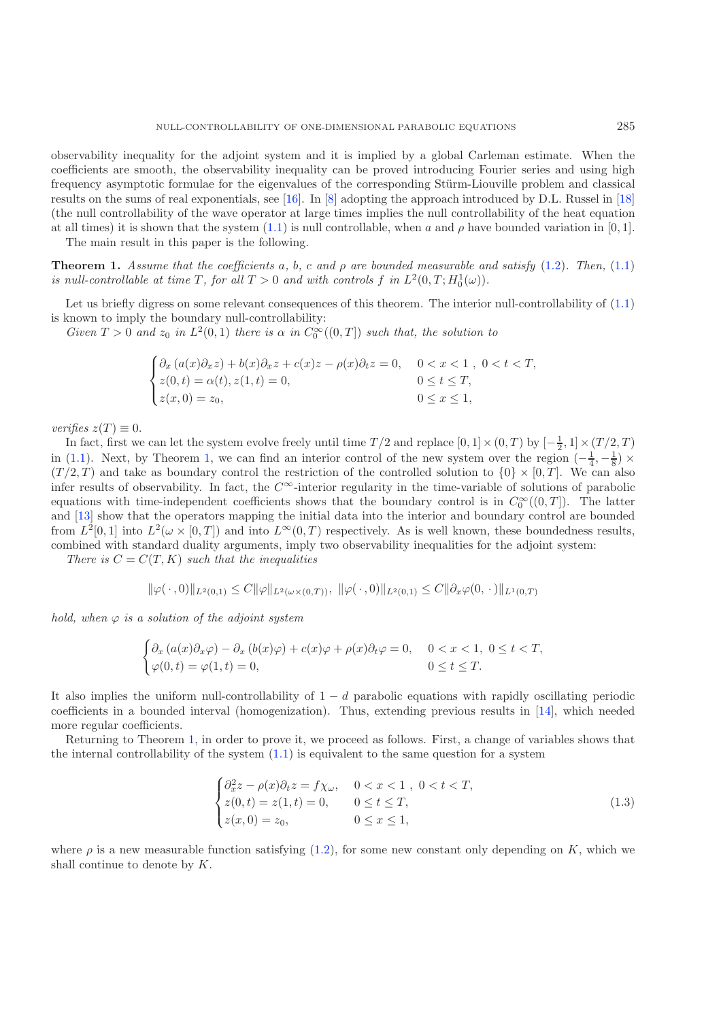observability inequality for the adjoint system and it is implied by a global Carleman estimate. When the coefficients are smooth, the observability inequality can be proved introducing Fourier series and using high frequency asymptotic formulae for the eigenvalues of the corresponding Stürm-Liouville problem and classical results on the sums of real exponentials, see [\[16](#page-9-0)]. In [\[8\]](#page-8-1) adopting the approach introduced by D.L. Russel in [\[18](#page-9-1)] (the null controllability of the wave operator at large times implies the null controllability of the heat equation at all times) it is shown that the system [\(1.1\)](#page-0-0) is null controllable, when a and  $\rho$  have bounded variation in [0, 1].

The main result in this paper is the following.

<span id="page-1-0"></span>**Theorem 1.** *Assume that the coefficients* a*,* b*,* c *and* ρ *are bounded measurable and satisfy* [\(1.2\)](#page-0-1)*. Then,* [\(1.1\)](#page-0-0) *is null-controllable at time* T, for all  $T > 0$  and with controls f in  $L^2(0,T; H_0^1(\omega))$ .

Let us briefly digress on some relevant consequences of this theorem. The interior null-controllability of  $(1.1)$ is known to imply the boundary null-controllability:

*Given*  $T > 0$  *and*  $z_0$  *in*  $L^2(0,1)$  *there is*  $\alpha$  *in*  $C_0^{\infty}((0,T])$  *such that, the solution to* 

$$
\begin{cases}\n\partial_x \left( a(x)\partial_x z \right) + b(x)\partial_x z + c(x)z - \rho(x)\partial_t z = 0, & 0 < x < 1, \ 0 < t < T, \\
z(0, t) = \alpha(t), z(1, t) = 0, & 0 \le t \le T, \\
z(x, 0) = z_0, & 0 \le x \le 1,\n\end{cases}
$$

*verifies*  $z(T) \equiv 0$ .

In fact, first we can let the system evolve freely until time  $T/2$  and replace  $[0,1] \times (0,T)$  by  $[-\frac{1}{2},1] \times (T/2,T)$ in [\(1.1\)](#page-0-0). Next, by Theorem [1,](#page-1-0) we can find an interior control of the new system over the region  $\left(-\frac{1}{4}, -\frac{1}{8}\right) \times$  $(T/2, T)$  and take as boundary control the restriction of the controlled solution to  $\{0\} \times [0, T]$ . We can also infer results of observability. In fact, the  $C^{\infty}$ -interior regularity in the time-variable of solutions of parabolic equations with time-independent coefficients shows that the boundary control is in  $C_0^{\infty}((0,T])$ . The latter and [\[13](#page-8-2)] show that the operators mapping the initial data into the interior and boundary control are bounded from  $L^2[0,1]$  into  $L^2(\omega\times[0,T])$  and into  $L^{\infty}(0,T)$  respectively. As is well known, these boundedness results, combined with standard duality arguments, imply two observability inequalities for the adjoint system:

*There is*  $C = C(T, K)$  *such that the inequalities* 

$$
\|\varphi(\,\cdot\,,0)\|_{L^2(0,1)} \leq C \|\varphi\|_{L^2(\omega\times(0,T))},\ \|\varphi(\,\cdot\,,0)\|_{L^2(0,1)} \leq C \|\partial_x\varphi(0,\,\cdot\,)\|_{L^1(0,T)}
$$

*hold, when*  $\varphi$  *is a solution of the adjoint system* 

<span id="page-1-1"></span>
$$
\begin{cases} \partial_x \left( a(x) \partial_x \varphi \right) - \partial_x \left( b(x) \varphi \right) + c(x) \varphi + \rho(x) \partial_t \varphi = 0, & 0 < x < 1, \ 0 \le t < T, \\ \varphi(0, t) = \varphi(1, t) = 0, & 0 \le t \le T. \end{cases}
$$

It also implies the uniform null-controllability of  $1 - d$  parabolic equations with rapidly oscillating periodic coefficients in a bounded interval (homogenization). Thus, extending previous results in [\[14\]](#page-8-3), which needed more regular coefficients.

Returning to Theorem [1,](#page-1-0) in order to prove it, we proceed as follows. First, a change of variables shows that the internal controllability of the system  $(1.1)$  is equivalent to the same question for a system

$$
\begin{cases}\n\partial_x^2 z - \rho(x)\partial_t z = f\chi_\omega, & 0 < x < 1 , 0 < t < T, \\
z(0, t) = z(1, t) = 0, & 0 \le t \le T, \\
z(x, 0) = z_0, & 0 \le x \le 1,\n\end{cases}
$$
\n(1.3)

where  $\rho$  is a new measurable function satisfying [\(1.2\)](#page-0-1), for some new constant only depending on K, which we shall continue to denote by K.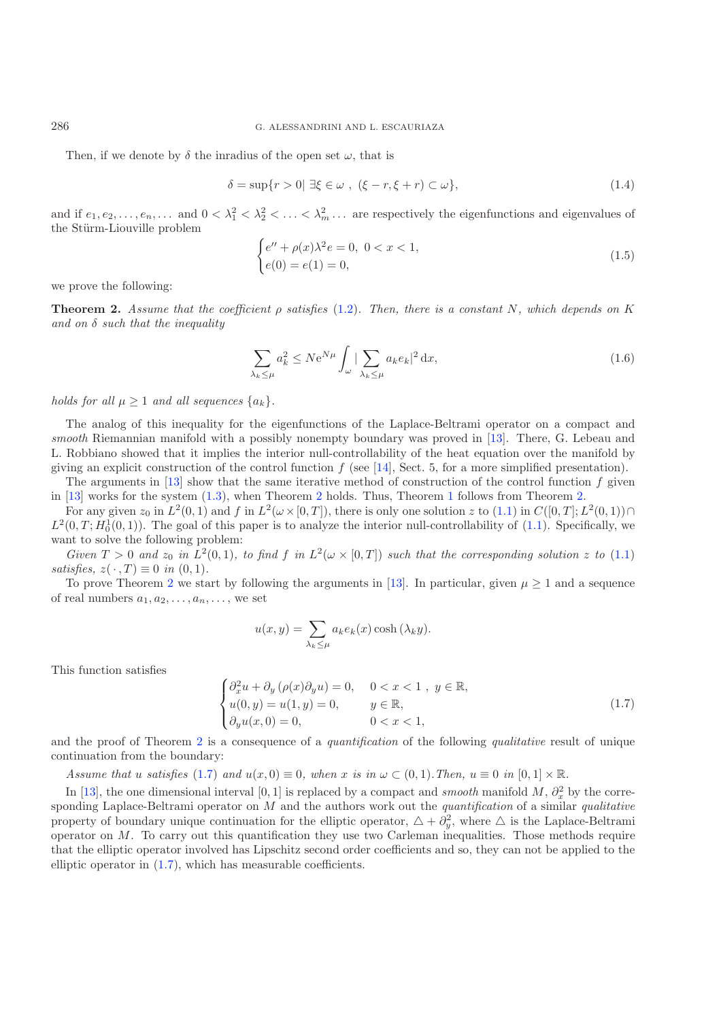Then, if we denote by  $\delta$  the inradius of the open set  $\omega$ , that is

<span id="page-2-2"></span>
$$
\delta = \sup\{r > 0 \mid \exists \xi \in \omega \;, \ (\xi - r, \xi + r) \subset \omega\},\tag{1.4}
$$

and if  $e_1, e_2, \ldots, e_n, \ldots$  and  $0 < \lambda_1^2 < \lambda_2^2 < \ldots < \lambda_m^2 \ldots$  are respectively the eigenfunctions and eigenvalues of the Stürm-Liouville problem

$$
\begin{cases} e'' + \rho(x)\lambda^2 e = 0, \ 0 < x < 1, \\ e(0) = e(1) = 0, \end{cases} \tag{1.5}
$$

<span id="page-2-0"></span>we prove the following:

**Theorem 2.** *Assume that the coefficient* ρ *satisfies* [\(1.2\)](#page-0-1)*. Then, there is a constant* N*, which depends on* K *and on* δ *such that the inequality*

$$
\sum_{\lambda_k \le \mu} a_k^2 \le N e^{N\mu} \int_{\omega} \left| \sum_{\lambda_k \le \mu} a_k e_k \right|^2 dx, \tag{1.6}
$$

*holds for all*  $\mu \geq 1$  *and all sequences*  $\{a_k\}.$ 

The analog of this inequality for the eigenfunctions of the Laplace-Beltrami operator on a compact and *smooth* Riemannian manifold with a possibly nonempty boundary was proved in [\[13\]](#page-8-2). There, G. Lebeau and L. Robbiano showed that it implies the interior null-controllability of the heat equation over the manifold by giving an explicit construction of the control function  $f$  (see [\[14\]](#page-8-3), Sect. 5, for a more simplified presentation).

The arguments in [\[13](#page-8-2)] show that the same iterative method of construction of the control function  $f$  given in [\[13\]](#page-8-2) works for the system [\(1.3\)](#page-1-1), when Theorem [2](#page-2-0) holds. Thus, Theorem [1](#page-1-0) follows from Theorem [2.](#page-2-0)

<span id="page-2-1"></span>For any given  $z_0$  in  $L^2(0,1)$  and f in  $L^2(\omega\times[0,T])$ , there is only one solution z to  $(1.1)$  in  $C([0,T];L^2(0,1))\cap$  $L^2(0,T;H_0^1(0,1))$ . The goal of this paper is to analyze the interior null-controllability of [\(1.1\)](#page-0-0). Specifically, we want to solve the following problem:

*Given*  $T > 0$  *and*  $z_0$  *in*  $\overline{L}^2(0,1)$ *, to find* f *in*  $\overline{L}^2(\omega \times [0,T])$  *such that the corresponding solution* z to [\(1.1\)](#page-0-0)  $satisfies, z(\cdot, T) \equiv 0 \text{ in } (0, 1).$ 

To prove Theorem [2](#page-2-0) we start by following the arguments in [\[13\]](#page-8-2). In particular, given  $\mu \geq 1$  and a sequence of real numbers  $a_1, a_2, \ldots, a_n, \ldots$ , we set

$$
u(x,y) = \sum_{\lambda_k \le \mu} a_k e_k(x) \cosh(\lambda_k y).
$$

This function satisfies

$$
\begin{cases}\n\partial_x^2 u + \partial_y \left( \rho(x) \partial_y u \right) = 0, & 0 < x < 1 , y \in \mathbb{R}, \\
u(0, y) = u(1, y) = 0, & y \in \mathbb{R}, \\
\partial_y u(x, 0) = 0, & 0 < x < 1,\n\end{cases}
$$
\n(1.7)

and the proof of Theorem [2](#page-2-0) is a consequence of a *quantification* of the following *qualitative* result of unique continuation from the boundary:

*Assume that* u *satisfies*  $(1.7)$  *and*  $u(x, 0) \equiv 0$ *, when* x *is in*  $\omega \subset (0, 1)$ *. Then,*  $u \equiv 0$  *in*  $[0, 1] \times \mathbb{R}$ *.* 

In [\[13\]](#page-8-2), the one dimensional interval [0, 1] is replaced by a compact and *smooth* manifold M,  $\partial_x^2$  by the corresponding Laplace-Beltrami operator on M and the authors work out the *quantification* of a similar *qualitative* property of boundary unique continuation for the elliptic operator,  $\Delta + \tilde{\partial}_y^2$ , where  $\Delta$  is the Laplace-Beltrami operator on  $M$ . To carry out this quantification they use two Carleman inequalities. Those methods require that the elliptic operator involved has Lipschitz second order coefficients and so, they can not be applied to the elliptic operator in [\(1.7\)](#page-2-1), which has measurable coefficients.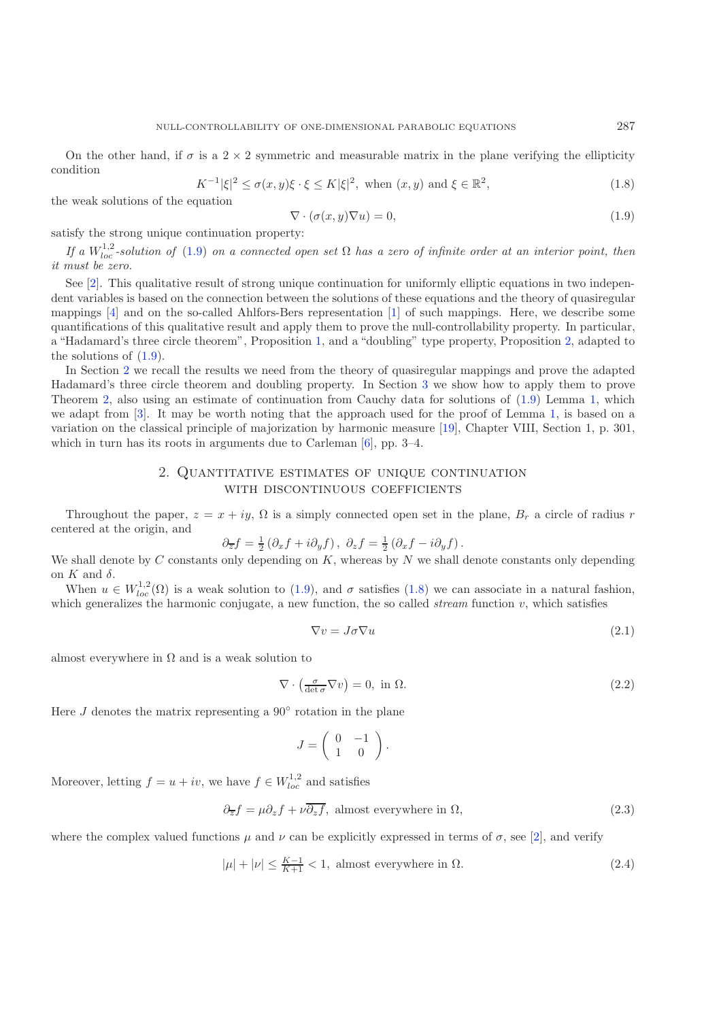<span id="page-3-2"></span>On the other hand, if  $\sigma$  is a 2  $\times$  2 symmetric and measurable matrix in the plane verifying the ellipticity condition

<span id="page-3-0"></span>
$$
K^{-1}|\xi|^2 \le \sigma(x,y)\xi \cdot \xi \le K|\xi|^2, \text{ when } (x,y) \text{ and } \xi \in \mathbb{R}^2,
$$
\n(1.8)

the weak solutions of the equation

$$
\nabla \cdot (\sigma(x, y)\nabla u) = 0,\tag{1.9}
$$

satisfy the strong unique continuation property:

*If* a  $W_{loc}^{1,2}$ -solution of [\(1.9\)](#page-3-0) on a connected open set  $\Omega$  has a zero of infinite order at an interior point, then *it must be zero.*

See [\[2](#page-8-4)]. This qualitative result of strong unique continuation for uniformly elliptic equations in two independent variables is based on the connection between the solutions of these equations and the theory of quasiregular mappings [\[4\]](#page-8-5) and on the so-called Ahlfors-Bers representation [\[1\]](#page-8-6) of such mappings. Here, we describe some quantifications of this qualitative result and apply them to prove the null-controllability property. In particular, a "Hadamard's three circle theorem", Proposition [1,](#page-5-0) and a "doubling" type property, Proposition [2,](#page-5-1) adapted to the solutions of [\(1.9\)](#page-3-0).

In Section [2](#page-3-1) we recall the results we need from the theory of quasiregular mappings and prove the adapted Hadamard's three circle theorem and doubling property. In Section [3](#page-5-2) we show how to apply them to prove Theorem [2,](#page-2-0) also using an estimate of continuation from Cauchy data for solutions of [\(1.9\)](#page-3-0) Lemma [1,](#page-7-0) which we adapt from [\[3](#page-8-7)]. It may be worth noting that the approach used for the proof of Lemma [1,](#page-7-0) is based on a variation on the classical principle of majorization by harmonic measure [\[19\]](#page-9-2), Chapter VIII, Section 1, p. 301, which in turn has its roots in arguments due to Carleman [\[6\]](#page-8-8), pp. 3–4.

### <span id="page-3-4"></span><span id="page-3-3"></span>2. Quantitative estimates of unique continuation WITH DISCONTINUOUS COEFFICIENTS

<span id="page-3-1"></span>Throughout the paper,  $z = x + iy$ ,  $\Omega$  is a simply connected open set in the plane,  $B_r$  a circle of radius r centered at the origin, and

$$
\partial_{\overline{z}} f = \frac{1}{2} \left( \partial_x f + i \partial_y f \right), \ \partial_z f = \frac{1}{2} \left( \partial_x f - i \partial_y f \right).
$$

We shall denote by C constants only depending on K, whereas by N we shall denote constants only depending on  $K$  and  $\delta$ .

When  $u \in W_{loc}^{1,2}(\Omega)$  is a weak solution to [\(1.9\)](#page-3-0), and  $\sigma$  satisfies [\(1.8\)](#page-3-2) we can associate in a natural fashion, which generalizes the harmonic conjugate, a new function, the so called *stream* function v, which satisfies

$$
\nabla v = J\sigma \nabla u \tag{2.1}
$$

almost everywhere in  $\Omega$  and is a weak solution to

$$
\nabla \cdot \left(\frac{\sigma}{\det \sigma} \nabla v\right) = 0, \text{ in } \Omega. \tag{2.2}
$$

Here  $J$  denotes the matrix representing a  $90^{\circ}$  rotation in the plane

$$
J = \left( \begin{array}{cc} 0 & -1 \\ 1 & 0 \end{array} \right).
$$

Moreover, letting  $f = u + iv$ , we have  $f \in W_{loc}^{1,2}$  and satisfies

$$
\partial_{\overline{z}}f = \mu \partial_z f + \nu \overline{\partial_z f}, \text{ almost everywhere in } \Omega,
$$
\n(2.3)

where the complex valued functions  $\mu$  and  $\nu$  can be explicitly expressed in terms of  $\sigma$ , see [\[2](#page-8-4)], and verify

$$
|\mu| + |\nu| \le \frac{K-1}{K+1} < 1, \text{ almost everywhere in } \Omega. \tag{2.4}
$$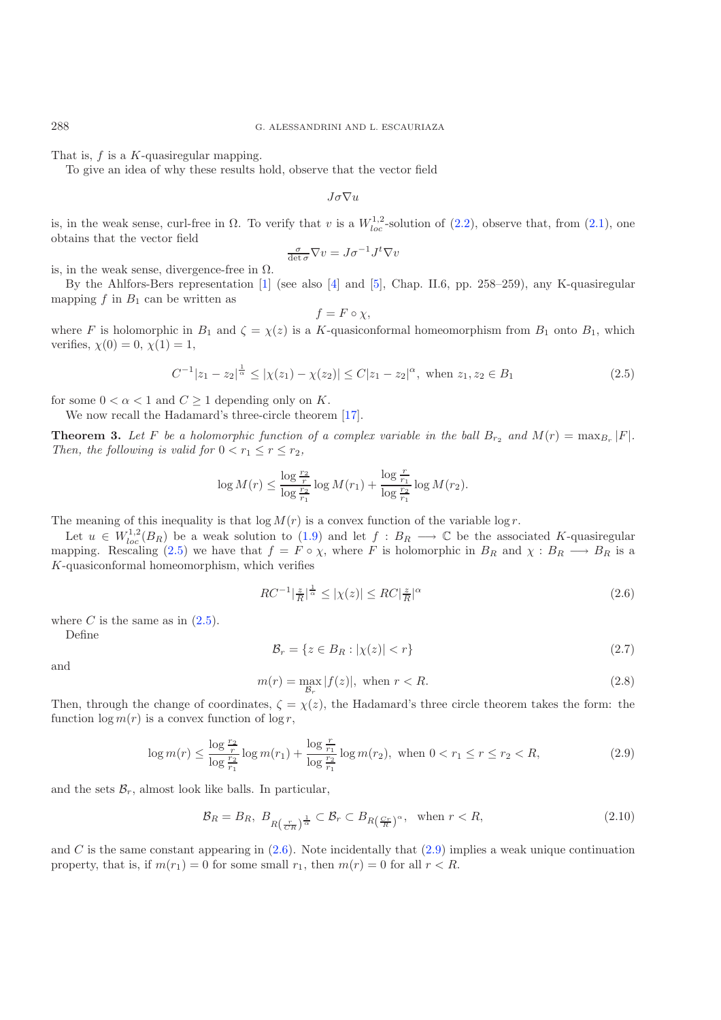That is, f is a K-quasiregular mapping.

<span id="page-4-0"></span>To give an idea of why these results hold, observe that the vector field

$$
J\sigma\nabla u
$$

is, in the weak sense, curl-free in  $\Omega$ . To verify that v is a  $W_{loc}^{1,2}$ -solution of [\(2.2\)](#page-3-3), observe that, from [\(2.1\)](#page-3-4), one obtains that the vector field

$$
\frac{\sigma}{\det \sigma} \nabla v = J \sigma^{-1} J^t \nabla v
$$

is, in the weak sense, divergence-free in  $\Omega$ .

By the Ahlfors-Bers representation [\[1](#page-8-6)] (see also [\[4\]](#page-8-5) and [\[5](#page-8-9)], Chap. II.6, pp. 258–259), any K-quasiregular mapping  $f$  in  $B_1$  can be written as

$$
f = F \circ \chi,
$$

where F is holomorphic in  $B_1$  and  $\zeta = \chi(z)$  is a K-quasiconformal homeomorphism from  $B_1$  onto  $B_1$ , which verifies,  $\chi(0) = 0, \chi(1) = 1$ ,

<span id="page-4-1"></span>
$$
C^{-1}|z_1 - z_2|^{\frac{1}{\alpha}} \le |\chi(z_1) - \chi(z_2)| \le C|z_1 - z_2|^{\alpha}, \text{ when } z_1, z_2 \in B_1
$$
\n(2.5)

for some  $0 < \alpha < 1$  and  $C \geq 1$  depending only on K.

We now recall the Hadamard's three-circle theorem [\[17\]](#page-9-3).

**Theorem 3.** Let F be a holomorphic function of a complex variable in the ball  $B_{r_2}$  and  $M(r) = \max_{B_r} |F|$ . *Then, the following is valid for*  $0 < r_1 \le r \le r_2$ *,* 

<span id="page-4-3"></span>
$$
\log M(r) \le \frac{\log \frac{r_2}{r}}{\log \frac{r_2}{r_1}} \log M(r_1) + \frac{\log \frac{r}{r_1}}{\log \frac{r_2}{r_1}} \log M(r_2).
$$

The meaning of this inequality is that  $\log M(r)$  is a convex function of the variable  $\log r$ .

<span id="page-4-2"></span>Let  $u \in W^{1,2}_{loc}(B_R)$  be a weak solution to [\(1.9\)](#page-3-0) and let  $f : B_R \longrightarrow \mathbb{C}$  be the associated K-quasiregular mapping. Rescaling [\(2.5\)](#page-4-0) we have that  $f = F \circ \chi$ , where F is holomorphic in  $B_R$  and  $\chi : B_R \longrightarrow B_R$  is a K-quasiconformal homeomorphism, which verifies

$$
RC^{-1}|\frac{z}{R}|^{\frac{1}{\alpha}} \le |\chi(z)| \le RC|\frac{z}{R}|^{\alpha} \tag{2.6}
$$

where C is the same as in  $(2.5)$ .

<span id="page-4-4"></span>Define

$$
\mathcal{B}_r = \{ z \in B_R : |\chi(z)| < r \} \tag{2.7}
$$

and

$$
m(r) = \max |f(z)|, \text{ when } r < R. \tag{2.8}
$$

Then, through the change of coordinates,  $\zeta = \chi(z)$ , the Hadamard's three circle theorem takes the form: the function  $\log m(r)$  is a convex function of  $\log r$ ,

$$
\log m(r) \le \frac{\log \frac{r_2}{r_2}}{\log \frac{r_2}{r_1}} \log m(r_1) + \frac{\log \frac{r}{r_1}}{\log \frac{r_2}{r_1}} \log m(r_2), \text{ when } 0 < r_1 \le r \le r_2 < R,\tag{2.9}
$$

and the sets  $\mathcal{B}_r$ , almost look like balls. In particular,

$$
\mathcal{B}_R = B_R, \ B_{R\left(\frac{r}{CR}\right)^{\frac{1}{\alpha}}} \subset \mathcal{B}_r \subset B_{R\left(\frac{Cr}{R}\right)^{\alpha}}, \text{ when } r < R,\tag{2.10}
$$

and C is the same constant appearing in  $(2.6)$ . Note incidentally that  $(2.9)$  implies a weak unique continuation property, that is, if  $m(r_1) = 0$  for some small  $r_1$ , then  $m(r) = 0$  for all  $r < R$ .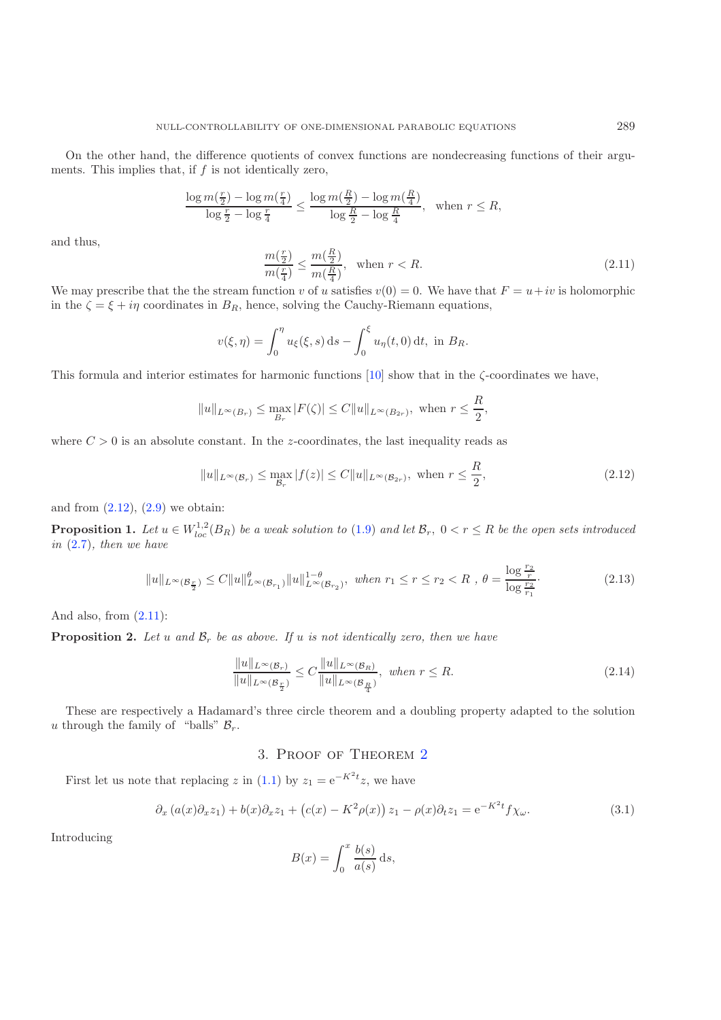<span id="page-5-4"></span>
$$
\frac{\log m\left(\frac{r}{2}\right)-\log m\left(\frac{r}{4}\right)}{\log \frac{r}{2}-\log \frac{r}{4}}\leq \frac{\log m\left(\frac{R}{2}\right)-\log m\left(\frac{R}{4}\right)}{\log \frac{R}{2}-\log \frac{R}{4}},\ \ \, \text{when}\,\,r\leq R,
$$

and thus,

$$
\frac{m(\frac{r}{2})}{m(\frac{r}{4})} \le \frac{m(\frac{R}{2})}{m(\frac{R}{4})}, \quad \text{when } r < R. \tag{2.11}
$$

<span id="page-5-3"></span>We may prescribe that the the stream function v of u satisfies  $v(0) = 0$ . We have that  $F = u + iv$  is holomorphic in the  $\zeta = \xi + i\eta$  coordinates in  $B_R$ , hence, solving the Cauchy-Riemann equations,

$$
v(\xi, \eta) = \int_0^{\eta} u_{\xi}(\xi, s) \, ds - \int_0^{\xi} u_{\eta}(t, 0) \, dt, \text{ in } B_R.
$$

This formula and interior estimates for harmonic functions  $[10]$  show that in the  $\zeta$ -coordinates we have,

$$
||u||_{L^{\infty}(B_r)} \le \max_{B_r} |F(\zeta)| \le C||u||_{L^{\infty}(B_{2r})},
$$
 when  $r \le \frac{R}{2}$ ,

where  $C > 0$  is an absolute constant. In the z-coordinates, the last inequality reads as

<span id="page-5-6"></span>
$$
||u||_{L^{\infty}(\mathcal{B}_r)} \le \max_{\mathcal{B}_r} |f(z)| \le C||u||_{L^{\infty}(\mathcal{B}_{2r})}, \text{ when } r \le \frac{R}{2},
$$
\n(2.12)

<span id="page-5-0"></span>and from  $(2.12)$ ,  $(2.9)$  we obtain:

**Proposition 1.** Let  $u \in W^{1,2}_{loc}(B_R)$  be a weak solution to [\(1.9\)](#page-3-0) and let  $\mathcal{B}_r$ ,  $0 < r \leq R$  be the open sets introduced *in* [\(2.7\)](#page-4-3)*, then we have*

$$
||u||_{L^{\infty}(\mathcal{B}_{\frac{r}{2}})} \leq C||u||_{L^{\infty}(\mathcal{B}_{r_1})}^{\theta}||u||_{L^{\infty}(\mathcal{B}_{r_2})}^{1-\theta}, \text{ when } r_1 \leq r \leq r_2 < R, \theta = \frac{\log \frac{r_2}{r}}{\log \frac{r_2}{r_1}}.
$$
 (2.13)

<span id="page-5-1"></span>And also, from [\(2.11\)](#page-5-4):

<span id="page-5-5"></span>**Proposition 2.** Let u and  $\mathcal{B}_r$  be as above. If u is not identically zero, then we have

$$
\frac{\|u\|_{L^{\infty}(\mathcal{B}_r)}}{\|u\|_{L^{\infty}(\mathcal{B}_{\frac{r}{2}})}} \leq C \frac{\|u\|_{L^{\infty}(\mathcal{B}_R)}}{\|u\|_{L^{\infty}(\mathcal{B}_{\frac{r}{4}})}}, \text{ when } r \leq R.
$$
\n(2.14)

<span id="page-5-2"></span>These are respectively a Hadamard's three circle theorem and a doubling property adapted to the solution u through the family of "balls"  $B_r$ .

### 3. Proof of Theorem [2](#page-2-0)

First let us note that replacing z in [\(1.1\)](#page-0-0) by  $z_1 = e^{-K^2 t} z$ , we have

$$
\partial_x \left( a(x) \partial_x z_1 \right) + b(x) \partial_x z_1 + \left( c(x) - K^2 \rho(x) \right) z_1 - \rho(x) \partial_t z_1 = e^{-K^2 t} f \chi_\omega. \tag{3.1}
$$

Introducing

$$
B(x) = \int_0^x \frac{b(s)}{a(s)} ds,
$$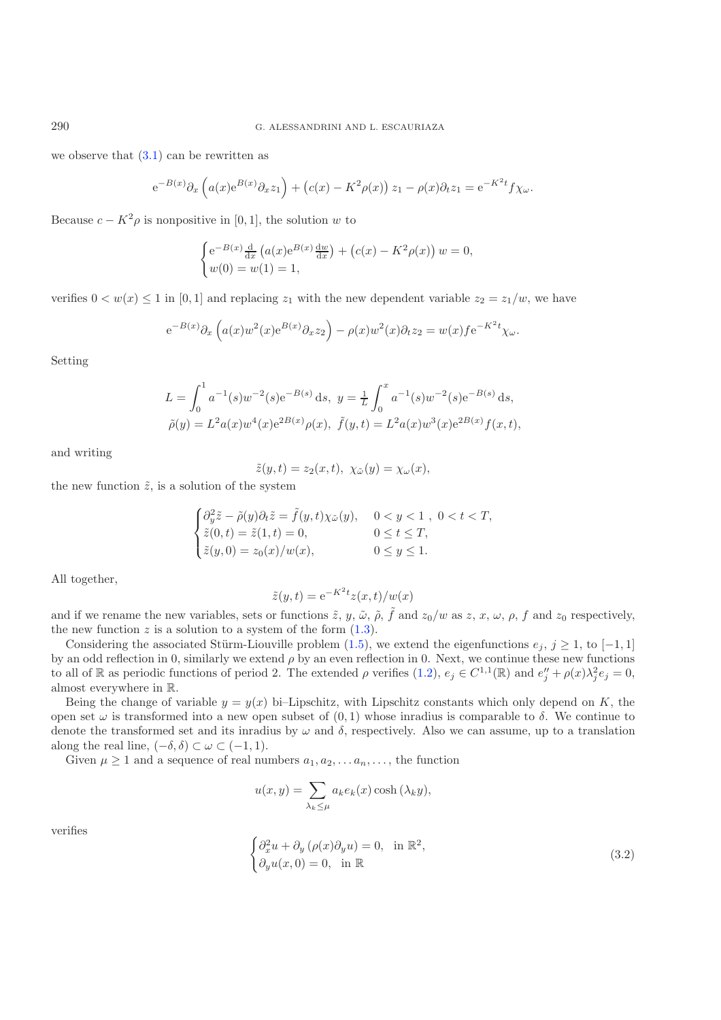we observe that  $(3.1)$  can be rewritten as

$$
e^{-B(x)}\partial_x\left(a(x)e^{B(x)}\partial_x z_1\right) + \left(c(x) - K^2\rho(x)\right)z_1 - \rho(x)\partial_t z_1 = e^{-K^2t}f\chi_\omega.
$$

Because  $c - K^2 \rho$  is nonpositive in [0, 1], the solution w to

$$
\begin{cases} e^{-B(x)} \frac{d}{dx} (a(x)e^{B(x)} \frac{dw}{dx}) + (c(x) - K^2 \rho(x)) w = 0, \\ w(0) = w(1) = 1, \end{cases}
$$

verifies  $0 < w(x) \leq 1$  in [0, 1] and replacing  $z_1$  with the new dependent variable  $z_2 = z_1/w$ , we have

$$
e^{-B(x)}\partial_x\left(a(x)w^2(x)e^{B(x)}\partial_x z_2\right) - \rho(x)w^2(x)\partial_t z_2 = w(x)fe^{-K^2t}\chi_\omega.
$$

Setting

$$
L = \int_0^1 a^{-1}(s)w^{-2}(s)e^{-B(s)} ds, \ y = \frac{1}{L} \int_0^x a^{-1}(s)w^{-2}(s)e^{-B(s)} ds,
$$
  

$$
\tilde{\rho}(y) = L^2 a(x)w^4(x)e^{2B(x)} \rho(x), \ \tilde{f}(y,t) = L^2 a(x)w^3(x)e^{2B(x)} f(x,t),
$$

and writing

$$
\tilde{z}(y,t) = z_2(x,t), \ \chi_{\tilde{\omega}}(y) = \chi_{\omega}(x),
$$

the new function  $\tilde{z}$ , is a solution of the system

$$
\begin{cases} \partial_y^2 \tilde{z} - \tilde{\rho}(y)\partial_t \tilde{z} = \tilde{f}(y,t)\chi_{\tilde{\omega}}(y), & 0 < y < 1 , 0 < t < T, \\ \tilde{z}(0,t) = \tilde{z}(1,t) = 0, & 0 \le t \le T, \\ \tilde{z}(y,0) = z_0(x)/w(x), & 0 \le y \le 1. \end{cases}
$$

All together,

$$
\tilde{z}(y,t) = e^{-K^2t} z(x,t)/w(x)
$$

and if we rename the new variables, sets or functions  $\tilde{z}$ ,  $y$ ,  $\tilde{\omega}$ ,  $\tilde{\rho}$ ,  $\tilde{f}$  and  $z_0/w$  as  $z$ ,  $x$ ,  $\omega$ ,  $\rho$ ,  $f$  and  $z_0$  respectively, the new function  $z$  is a solution to a system of the form  $(1.3)$ .

Considering the associated Stürm-Liouville problem [\(1.5\)](#page-2-2), we extend the eigenfunctions  $e_j$ ,  $j \ge 1$ , to [-1, 1] by an odd reflection in 0, similarly we extend  $\rho$  by an even reflection in 0. Next, we continue these new functions to all of R as periodic functions of period 2. The extended  $\rho$  verifies  $(1.2)$ ,  $e_j \in C^{1,1}(\mathbb{R})$  and  $e''_j + \rho(x)\lambda_j^2 e_j = 0$ , almost everywhere in R.

Being the change of variable  $y = y(x)$  bi–Lipschitz, with Lipschitz constants which only depend on K, the open set  $\omega$  is transformed into a new open subset of  $(0, 1)$  whose inradius is comparable to  $\delta$ . We continue to denote the transformed set and its inradius by  $\omega$  and  $\delta$ , respectively. Also we can assume, up to a translation along the real line,  $(-\delta, \delta) \subset \omega \subset (-1, 1)$ .

Given  $\mu \geq 1$  and a sequence of real numbers  $a_1, a_2, \ldots, a_n, \ldots$ , the function

$$
u(x,y) = \sum_{\lambda_k \le \mu} a_k e_k(x) \cosh(\lambda_k y),
$$

verifies

$$
\begin{cases} \partial_x^2 u + \partial_y (\rho(x)\partial_y u) = 0, & \text{in } \mathbb{R}^2, \\ \partial_y u(x, 0) = 0, & \text{in } \mathbb{R} \end{cases}
$$
 (3.2)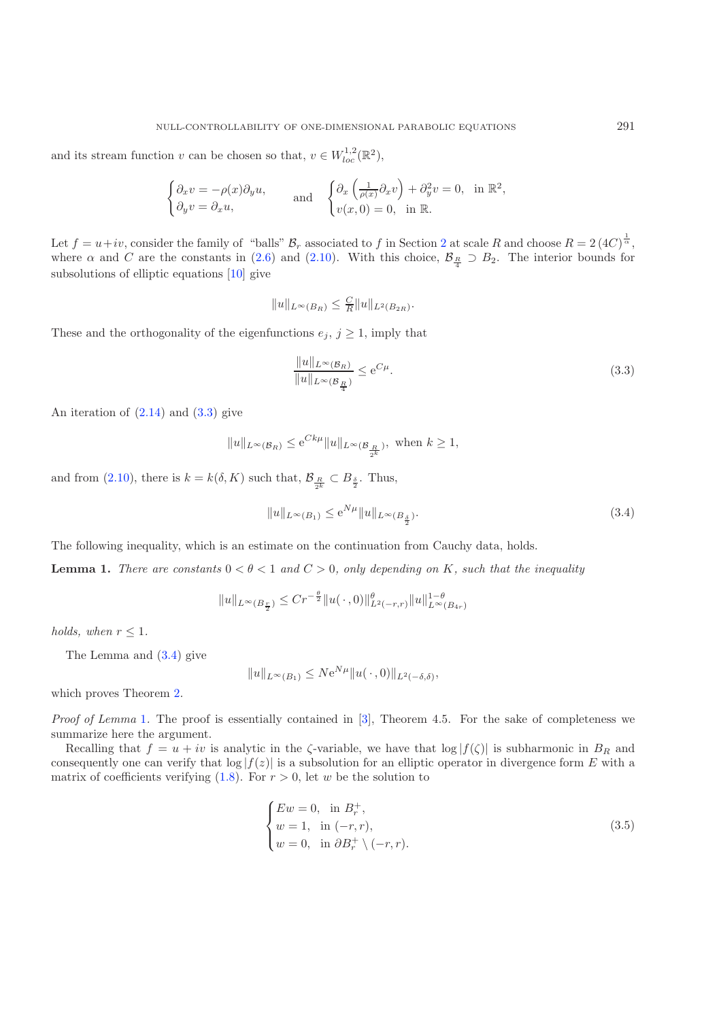and its stream function v can be chosen so that,  $v \in W_{loc}^{1,2}(\mathbb{R}^2)$ ,

<span id="page-7-1"></span>
$$
\begin{cases} \partial_x v = -\rho(x)\partial_y u, \\ \partial_y v = \partial_x u, \end{cases} \quad \text{and} \quad \begin{cases} \partial_x \left(\frac{1}{\rho(x)}\partial_x v\right) + \partial_y^2 v = 0, \text{ in } \mathbb{R}^2, \\ v(x, 0) = 0, \text{ in } \mathbb{R}. \end{cases}
$$

Let  $f = u + iv$ , consider the family of "balls"  $B_r$  associated to f in Section [2](#page-3-1) at scale R and choose  $R = 2 (4C)^{\frac{1}{\alpha}}$ , where  $\alpha$  and C are the constants in [\(2.6\)](#page-4-1) and [\(2.10\)](#page-4-4). With this choice,  $\mathcal{B}_{\frac{R}{4}} \supset B_2$ . The interior bounds for subsolutions of elliptic equations [\[10](#page-8-10)] give

<span id="page-7-2"></span>
$$
||u||_{L^{\infty}(B_R)} \leq \frac{C}{R}||u||_{L^2(B_{2R})}.
$$

These and the orthogonality of the eigenfunctions  $e_j$ ,  $j \geq 1$ , imply that

$$
\frac{\|u\|_{L^{\infty}(\mathcal{B}_R)}}{\|u\|_{L^{\infty}(\mathcal{B}_{\frac{R}{4}})}} \leq e^{C\mu}.
$$
\n(3.3)

An iteration of  $(2.14)$  and  $(3.3)$  give

$$
||u||_{L^{\infty}(\mathcal{B}_R)} \leq e^{Ck\mu}||u||_{L^{\infty}(\mathcal{B}_{\frac{R}{2^k}})}, \text{ when } k \geq 1,
$$

and from [\(2.10\)](#page-4-4), there is  $k = k(\delta, K)$  such that,  $\mathcal{B}_{\frac{R}{2^k}} \subset B_{\frac{\delta}{2}}$ . Thus,

$$
||u||_{L^{\infty}(B_1)} \le e^{N\mu} ||u||_{L^{\infty}(B_{\frac{\delta}{2}})}.
$$
\n(3.4)

<span id="page-7-0"></span>The following inequality, which is an estimate on the continuation from Cauchy data, holds.

**Lemma 1.** *There are constants*  $0 < \theta < 1$  *and*  $C > 0$ *, only depending on* K*, such that the inequality* 

 $||u||_{L^{\infty}(B_{\frac{r}{2}})} \leq C r^{-\frac{\theta}{2}} ||u(\,\cdot\,,0)||_{L^{2}(-r,r)}^{\theta} ||u||_{L^{\infty}(B_{4r})}^{1-\theta}$ 

*holds, when*  $r \leq 1$ *.* 

The Lemma and [\(3.4\)](#page-7-2) give

$$
||u||_{L^{\infty}(B_1)} \le N e^{N\mu} ||u(\cdot,0)||_{L^2(-\delta,\delta)},
$$

which proves Theorem [2.](#page-2-0)

*Proof of Lemma* [1](#page-7-0). The proof is essentially contained in [\[3\]](#page-8-7), Theorem 4.5. For the sake of completeness we summarize here the argument.

Recalling that  $f = u + iv$  is analytic in the  $\zeta$ -variable, we have that  $\log |f(\zeta)|$  is subharmonic in  $B_R$  and consequently one can verify that  $log|f(z)|$  is a subsolution for an elliptic operator in divergence form E with a matrix of coefficients verifying  $(1.8)$ . For  $r > 0$ , let w be the solution to

$$
\begin{cases}\nEw = 0, & \text{in } B_r^+, \\
w = 1, & \text{in } (-r, r), \\
w = 0, & \text{in } \partial B_r^+ \setminus (-r, r).\n\end{cases}
$$
\n(3.5)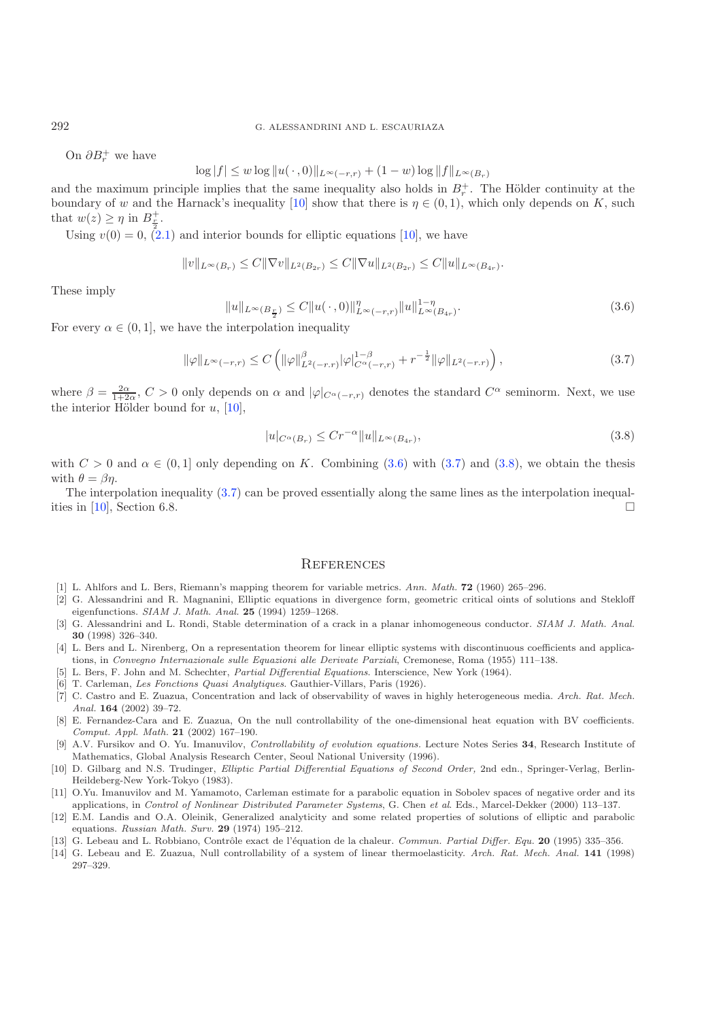<span id="page-8-12"></span>On  $\partial B_r^+$  we have

<span id="page-8-11"></span>
$$
\log|f| \leq w \log \|u(\,\cdot\,,0)\|_{L^\infty(-r,r)} + (1-w) \log \|f\|_{L^\infty(B_r)}
$$

and the maximum principle implies that the same inequality also holds in  $B_r^+$ . The Hölder continuity at the boundary of w and the Harnack's inequality [\[10\]](#page-8-10) show that there is  $\eta \in (0,1)$ , which only depends on K, such that  $w(z) \geq \eta$  in  $B_{\underline{r}}^+$ .

Using  $v(0) = 0$ ,  $(2.1)$  and interior bounds for elliptic equations [\[10\]](#page-8-10), we have

<span id="page-8-13"></span>
$$
||v||_{L^{\infty}(B_r)} \leq C||\nabla v||_{L^{2}(B_{2r})} \leq C||\nabla u||_{L^{2}(B_{2r})} \leq C||u||_{L^{\infty}(B_{4r})}.
$$

These imply

$$
||u||_{L^{\infty}(B_{\frac{r}{2}})} \leq C||u(\cdot,0)||_{L^{\infty}(-r,r)}^{\eta} ||u||_{L^{\infty}(B_{4r})}^{1-\eta}.
$$
\n(3.6)

For every  $\alpha \in (0, 1]$ , we have the interpolation inequality

$$
\|\varphi\|_{L^{\infty}(-r,r)} \le C \left( \|\varphi\|_{L^{2}(-r,r)}^{\beta} |\varphi|_{C^{\alpha}(-r,r)}^{1-\beta} + r^{-\frac{1}{2}} \|\varphi\|_{L^{2}(-r,r)} \right),
$$
\n(3.7)

where  $\beta = \frac{2\alpha}{1+2\alpha}$ ,  $C > 0$  only depends on  $\alpha$  and  $|\varphi|_{C^{\alpha}(-r,r)}$  denotes the standard  $C^{\alpha}$  seminorm. Next, we use the interior Hölder bound for  $u$ , [\[10\]](#page-8-10),

$$
|u|_{C^{\alpha}(B_r)} \le Cr^{-\alpha} \|u\|_{L^{\infty}(B_{4r})},\tag{3.8}
$$

with  $C > 0$  and  $\alpha \in (0, 1]$  only depending on K. Combining [\(3.6\)](#page-8-11) with [\(3.7\)](#page-8-12) and [\(3.8\)](#page-8-13), we obtain the thesis with  $\theta = \beta \eta$ .

The interpolation inequality [\(3.7\)](#page-8-12) can be proved essentially along the same lines as the interpolation inequal-ities in [\[10\]](#page-8-10), Section 6.8.

#### **REFERENCES**

- <span id="page-8-6"></span>[1] L. Ahlfors and L. Bers, Riemann's mapping theorem for variable metrics. Ann. Math. **72** (1960) 265–296.
- <span id="page-8-4"></span>[2] G. Alessandrini and R. Magnanini, Elliptic equations in divergence form, geometric critical oints of solutions and Stekloff eigenfunctions. SIAM J. Math. Anal. **25** (1994) 1259–1268.
- <span id="page-8-7"></span>[3] G. Alessandrini and L. Rondi, Stable determination of a crack in a planar inhomogeneous conductor. SIAM J. Math. Anal. **30** (1998) 326–340.
- <span id="page-8-5"></span>[4] L. Bers and L. Nirenberg, On a representation theorem for linear elliptic systems with discontinuous coefficients and applications, in Convegno Internazionale sulle Equazioni alle Derivate Parziali, Cremonese, Roma (1955) 111–138.
- <span id="page-8-9"></span>[5] L. Bers, F. John and M. Schechter, Partial Differential Equations. Interscience, New York (1964).
- <span id="page-8-8"></span>[6] T. Carleman, Les Fonctions Quasi Analytiques. Gauthier-Villars, Paris (1926).
- [7] C. Castro and E. Zuazua, Concentration and lack of observability of waves in highly heterogeneous media. Arch. Rat. Mech. Anal. **164** (2002) 39–72.
- <span id="page-8-1"></span>[8] E. Fernandez-Cara and E. Zuazua, On the null controllability of the one-dimensional heat equation with BV coefficients. Comput. Appl. Math. **21** (2002) 167–190.
- [9] A.V. Fursikov and O. Yu. Imanuvilov, Controllability of evolution equations. Lecture Notes Series **34**, Research Institute of Mathematics, Global Analysis Research Center, Seoul National University (1996).
- <span id="page-8-10"></span>[10] D. Gilbarg and N.S. Trudinger, Elliptic Partial Differential Equations of Second Order, 2nd edn., Springer-Verlag, Berlin-Heildeberg-New York-Tokyo (1983).
- <span id="page-8-0"></span>[11] O.Yu. Imanuvilov and M. Yamamoto, Carleman estimate for a parabolic equation in Sobolev spaces of negative order and its applications, in Control of Nonlinear Distributed Parameter Systems, G. Chen et al. Eds., Marcel-Dekker (2000) 113–137.
- [12] E.M. Landis and O.A. Oleinik, Generalized analyticity and some related properties of solutions of elliptic and parabolic equations. Russian Math. Surv. **29** (1974) 195–212.
- [13] G. Lebeau and L. Robbiano, Contrôle exact de l'équation de la chaleur. Commun. Partial Differ. Equ. 20 (1995) 335-356.
- <span id="page-8-3"></span><span id="page-8-2"></span>[14] G. Lebeau and E. Zuazua, Null controllability of a system of linear thermoelasticity. Arch. Rat. Mech. Anal. **141** (1998) 297–329.